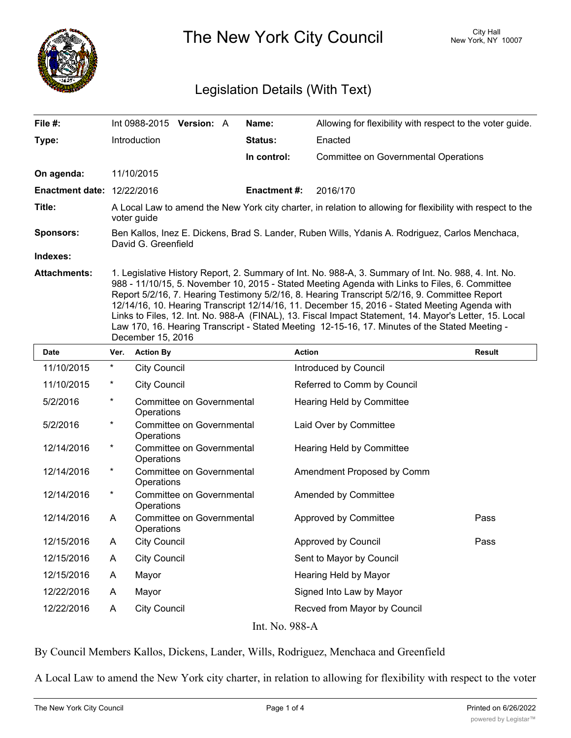

The New York City Council New York, NY 10007

## Legislation Details (With Text)

| File #:                           | Int 0988-2015 <b>Version:</b> A                                                                                                                                                                                                                                                                                                                                                                                                                                                                                                                                                                                                           |  |  | Name:               | Allowing for flexibility with respect to the voter guide. |  |  |
|-----------------------------------|-------------------------------------------------------------------------------------------------------------------------------------------------------------------------------------------------------------------------------------------------------------------------------------------------------------------------------------------------------------------------------------------------------------------------------------------------------------------------------------------------------------------------------------------------------------------------------------------------------------------------------------------|--|--|---------------------|-----------------------------------------------------------|--|--|
| Type:                             | <b>Introduction</b>                                                                                                                                                                                                                                                                                                                                                                                                                                                                                                                                                                                                                       |  |  | Status:             | Enacted                                                   |  |  |
|                                   |                                                                                                                                                                                                                                                                                                                                                                                                                                                                                                                                                                                                                                           |  |  | In control:         | <b>Committee on Governmental Operations</b>               |  |  |
| On agenda:                        | 11/10/2015                                                                                                                                                                                                                                                                                                                                                                                                                                                                                                                                                                                                                                |  |  |                     |                                                           |  |  |
| <b>Enactment date: 12/22/2016</b> |                                                                                                                                                                                                                                                                                                                                                                                                                                                                                                                                                                                                                                           |  |  | <b>Enactment #:</b> | 2016/170                                                  |  |  |
| Title:                            | A Local Law to amend the New York city charter, in relation to allowing for flexibility with respect to the<br>voter guide                                                                                                                                                                                                                                                                                                                                                                                                                                                                                                                |  |  |                     |                                                           |  |  |
| <b>Sponsors:</b>                  | Ben Kallos, Inez E. Dickens, Brad S. Lander, Ruben Wills, Ydanis A. Rodriguez, Carlos Menchaca,<br>David G. Greenfield                                                                                                                                                                                                                                                                                                                                                                                                                                                                                                                    |  |  |                     |                                                           |  |  |
| Indexes:                          |                                                                                                                                                                                                                                                                                                                                                                                                                                                                                                                                                                                                                                           |  |  |                     |                                                           |  |  |
| <b>Attachments:</b>               | 1. Legislative History Report, 2. Summary of Int. No. 988-A, 3. Summary of Int. No. 988, 4. Int. No.<br>988 - 11/10/15, 5. November 10, 2015 - Stated Meeting Agenda with Links to Files, 6. Committee<br>Report 5/2/16, 7. Hearing Testimony 5/2/16, 8. Hearing Transcript 5/2/16, 9. Committee Report<br>12/14/16, 10. Hearing Transcript 12/14/16, 11. December 15, 2016 - Stated Meeting Agenda with<br>Links to Files, 12. Int. No. 988-A (FINAL), 13. Fiscal Impact Statement, 14. Mayor's Letter, 15. Local<br>Law 170, 16. Hearing Transcript - Stated Meeting 12-15-16, 17. Minutes of the Stated Meeting -<br>December 15, 2016 |  |  |                     |                                                           |  |  |
| <b>Date</b>                       | Ver. Action By                                                                                                                                                                                                                                                                                                                                                                                                                                                                                                                                                                                                                            |  |  | <b>Action</b>       | <b>Result</b>                                             |  |  |

| υaτe           | ver.     | <b>ACTION BY</b>                        | <b>ACTION</b>                | <b>Result</b> |  |  |  |  |
|----------------|----------|-----------------------------------------|------------------------------|---------------|--|--|--|--|
| 11/10/2015     | $\ast$   | <b>City Council</b>                     | Introduced by Council        |               |  |  |  |  |
| 11/10/2015     | $^\ast$  | <b>City Council</b>                     | Referred to Comm by Council  |               |  |  |  |  |
| 5/2/2016       | $^\star$ | Committee on Governmental<br>Operations | Hearing Held by Committee    |               |  |  |  |  |
| 5/2/2016       | $^\ast$  | Committee on Governmental<br>Operations | Laid Over by Committee       |               |  |  |  |  |
| 12/14/2016     | $^\ast$  | Committee on Governmental<br>Operations | Hearing Held by Committee    |               |  |  |  |  |
| 12/14/2016     | $^\ast$  | Committee on Governmental<br>Operations | Amendment Proposed by Comm   |               |  |  |  |  |
| 12/14/2016     | $^\star$ | Committee on Governmental<br>Operations | Amended by Committee         |               |  |  |  |  |
| 12/14/2016     | A        | Committee on Governmental<br>Operations | Approved by Committee        | Pass          |  |  |  |  |
| 12/15/2016     | A        | <b>City Council</b>                     | Approved by Council          | Pass          |  |  |  |  |
| 12/15/2016     | A        | <b>City Council</b>                     | Sent to Mayor by Council     |               |  |  |  |  |
| 12/15/2016     | A        | Mayor                                   | Hearing Held by Mayor        |               |  |  |  |  |
| 12/22/2016     | A        | Mayor                                   | Signed Into Law by Mayor     |               |  |  |  |  |
| 12/22/2016     | A        | <b>City Council</b>                     | Recved from Mayor by Council |               |  |  |  |  |
| Int. No. 988-A |          |                                         |                              |               |  |  |  |  |

By Council Members Kallos, Dickens, Lander, Wills, Rodriguez, Menchaca and Greenfield

A Local Law to amend the New York city charter, in relation to allowing for flexibility with respect to the voter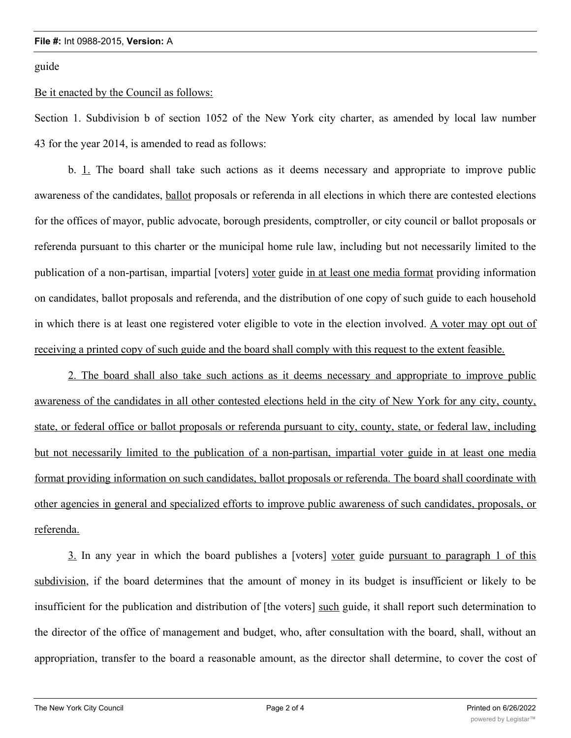guide

## Be it enacted by the Council as follows:

Section 1. Subdivision b of section 1052 of the New York city charter, as amended by local law number 43 for the year 2014, is amended to read as follows:

b. 1. The board shall take such actions as it deems necessary and appropriate to improve public awareness of the candidates, ballot proposals or referenda in all elections in which there are contested elections for the offices of mayor, public advocate, borough presidents, comptroller, or city council or ballot proposals or referenda pursuant to this charter or the municipal home rule law, including but not necessarily limited to the publication of a non-partisan, impartial [voters] voter guide in at least one media format providing information on candidates, ballot proposals and referenda, and the distribution of one copy of such guide to each household in which there is at least one registered voter eligible to vote in the election involved. A voter may opt out of receiving a printed copy of such guide and the board shall comply with this request to the extent feasible.

2. The board shall also take such actions as it deems necessary and appropriate to improve public awareness of the candidates in all other contested elections held in the city of New York for any city, county, state, or federal office or ballot proposals or referenda pursuant to city, county, state, or federal law, including but not necessarily limited to the publication of a non-partisan, impartial voter guide in at least one media format providing information on such candidates, ballot proposals or referenda. The board shall coordinate with other agencies in general and specialized efforts to improve public awareness of such candidates, proposals, or referenda.

3. In any year in which the board publishes a [voters] voter guide pursuant to paragraph 1 of this subdivision, if the board determines that the amount of money in its budget is insufficient or likely to be insufficient for the publication and distribution of [the voters] such guide, it shall report such determination to the director of the office of management and budget, who, after consultation with the board, shall, without an appropriation, transfer to the board a reasonable amount, as the director shall determine, to cover the cost of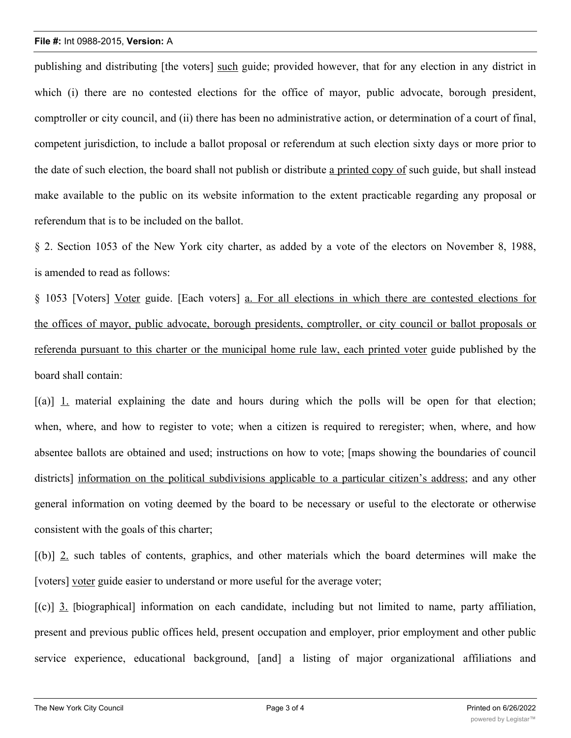## **File #:** Int 0988-2015, **Version:** A

publishing and distributing [the voters] such guide; provided however, that for any election in any district in which (i) there are no contested elections for the office of mayor, public advocate, borough president, comptroller or city council, and (ii) there has been no administrative action, or determination of a court of final, competent jurisdiction, to include a ballot proposal or referendum at such election sixty days or more prior to the date of such election, the board shall not publish or distribute a printed copy of such guide, but shall instead make available to the public on its website information to the extent practicable regarding any proposal or referendum that is to be included on the ballot.

§ 2. Section 1053 of the New York city charter, as added by a vote of the electors on November 8, 1988, is amended to read as follows:

§ 1053 [Voters] Voter guide. [Each voters] a. For all elections in which there are contested elections for the offices of mayor, public advocate, borough presidents, comptroller, or city council or ballot proposals or referenda pursuant to this charter or the municipal home rule law, each printed voter guide published by the board shall contain:

[(a)] 1. material explaining the date and hours during which the polls will be open for that election; when, where, and how to register to vote; when a citizen is required to reregister; when, where, and how absentee ballots are obtained and used; instructions on how to vote; [maps showing the boundaries of council districts] information on the political subdivisions applicable to a particular citizen's address; and any other general information on voting deemed by the board to be necessary or useful to the electorate or otherwise consistent with the goals of this charter;

[(b)] 2. such tables of contents, graphics, and other materials which the board determines will make the [voters] voter guide easier to understand or more useful for the average voter;

[(c)] 3. [biographical] information on each candidate, including but not limited to name, party affiliation, present and previous public offices held, present occupation and employer, prior employment and other public service experience, educational background, [and] a listing of major organizational affiliations and